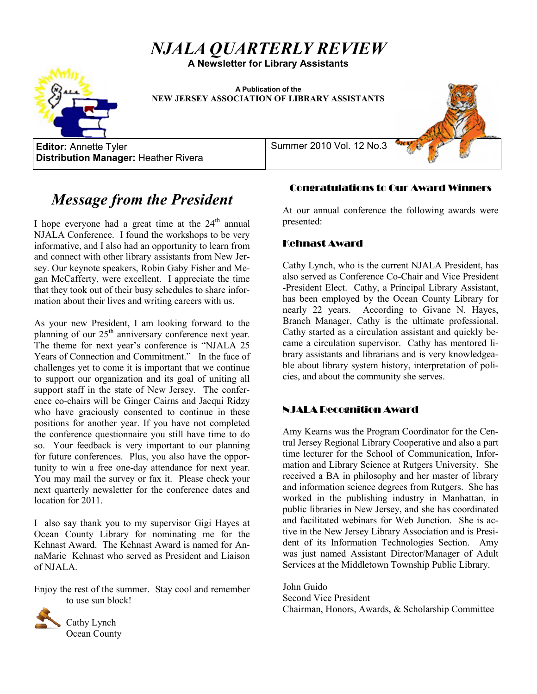# *NJALA QUARTERLY REVIEW*

**A Newsletter for Library Assistants**

**A Publication of the NEW JERSEY ASSOCIATION OF LIBRARY ASSISTANTS**

**Editor:** Annette Tyler Summer 2010 Vol. 12 No.3 **Distribution Manager:** Heather Rivera

## *Message from the President*

I hope everyone had a great time at the  $24<sup>th</sup>$  annual NJALA Conference. I found the workshops to be very informative, and I also had an opportunity to learn from and connect with other library assistants from New Jersey. Our keynote speakers, Robin Gaby Fisher and Megan McCafferty, were excellent. I appreciate the time that they took out of their busy schedules to share information about their lives and writing careers with us.

As your new President, I am looking forward to the planning of our  $25<sup>th</sup>$  anniversary conference next year. The theme for next year's conference is "NJALA 25 Years of Connection and Commitment." In the face of challenges yet to come it is important that we continue to support our organization and its goal of uniting all support staff in the state of New Jersey. The conference co-chairs will be Ginger Cairns and Jacqui Ridzy who have graciously consented to continue in these positions for another year. If you have not completed the conference questionnaire you still have time to do so. Your feedback is very important to our planning for future conferences. Plus, you also have the opportunity to win a free one-day attendance for next year. You may mail the survey or fax it. Please check your next quarterly newsletter for the conference dates and location for 2011.

I also say thank you to my supervisor Gigi Hayes at Ocean County Library for nominating me for the Kehnast Award. The Kehnast Award is named for AnnaMarie Kehnast who served as President and Liaison of NJALA.

Enjoy the rest of the summer. Stay cool and remember to use sun block!



Cathy Lynch Ocean County

## Congratulations to Our Award Winners

At our annual conference the following awards were presented:

#### Kehnast Award

Cathy Lynch, who is the current NJALA President, has also served as Conference Co-Chair and Vice President -President Elect. Cathy, a Principal Library Assistant, has been employed by the Ocean County Library for nearly 22 years. According to Givane N. Hayes, Branch Manager, Cathy is the ultimate professional. Cathy started as a circulation assistant and quickly became a circulation supervisor. Cathy has mentored library assistants and librarians and is very knowledgeable about library system history, interpretation of policies, and about the community she serves.

### NJALA Recognition Award

Amy Kearns was the Program Coordinator for the Central Jersey Regional Library Cooperative and also a part time lecturer for the School of Communication, Information and Library Science at Rutgers University. She received a BA in philosophy and her master of library and information science degrees from Rutgers. She has worked in the publishing industry in Manhattan, in public libraries in New Jersey, and she has coordinated and facilitated webinars for Web Junction. She is active in the New Jersey Library Association and is President of its Information Technologies Section. Amy was just named Assistant Director/Manager of Adult Services at the Middletown Township Public Library.

John Guido Second Vice President Chairman, Honors, Awards, & Scholarship Committee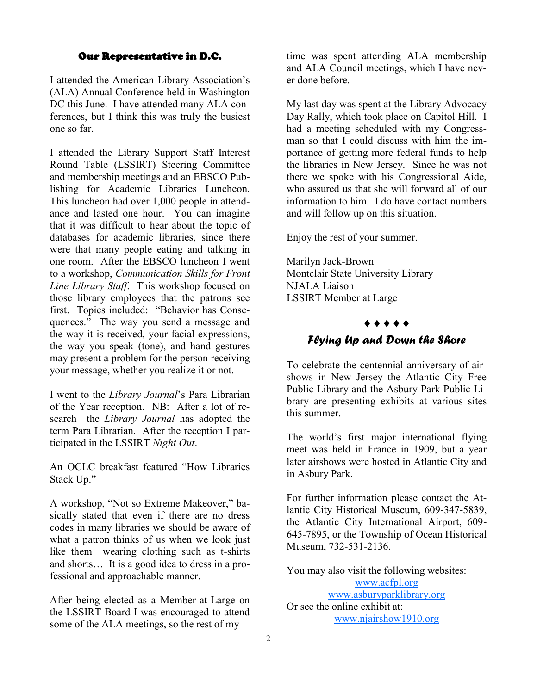#### Our Representative in D.C.

<span id="page-1-0"></span>I attended the American Library Association's (ALA) Annual Conference held in Washington DC this June. I have attended many ALA conferences, but I think this was truly the busiest one so far.

I attended the Library Support Staff Interest Round Table (LSSIRT) Steering Committee and membership meetings and an EBSCO Publishing for Academic Libraries Luncheon. This luncheon had over 1,000 people in attendance and lasted one hour. You can imagine that it was difficult to hear about the topic of databases for academic libraries, since there were that many people eating and talking in one room. After the EBSCO luncheon I went to a workshop, *Communication Skills for Front Line Library Staff*. This workshop focused on those library employees that the patrons see first. Topics included: "Behavior has Consequences." The way you send a message and the way it is received, your facial expressions, the way you speak (tone), and hand gestures may present a problem for the person receiving your message, whether you realize it or not.

I went to the *Library Journal*'s Para Librarian of the Year reception. NB: After a lot of research the *Library Journal* has adopted the term Para Librarian. After the reception I participated in the LSSIRT *Night Out*.

An OCLC breakfast featured "How Libraries Stack Up."

A workshop, "Not so Extreme Makeover," basically stated that even if there are no dress codes in many libraries we should be aware of what a patron thinks of us when we look just like them—wearing clothing such as t-shirts and shorts… It is a good idea to dress in a professional and approachable manner.

After being elected as a Member-at-Large on the LSSIRT Board I was encouraged to attend some of the ALA meetings, so the rest of my

time was spent attending ALA membership and ALA Council meetings, which I have never done before.

My last day was spent at the Library Advocacy Day Rally, which took place on Capitol Hill. I had a meeting scheduled with my Congressman so that I could discuss with him the importance of getting more federal funds to help the libraries in New Jersey. Since he was not there we spoke with his Congressional Aide, who assured us that she will forward all of our information to him. I do have contact numbers and will follow up on this situation.

Enjoy the rest of your summer.

Marilyn Jack-Brown Montclair State University Library NJALA Liaison LSSIRT Member at Large

#### ♦ ♦ ♦ ♦ ♦

### *Flying Up and Down the Shore*

To celebrate the centennial anniversary of airshows in New Jersey the Atlantic City Free Public Library and the Asbury Park Public Library are presenting exhibits at various sites this summer.

The world's first major international flying meet was held in France in 1909, but a year later airshows were hosted in Atlantic City and in Asbury Park.

For further information please contact the Atlantic City Historical Museum, 609-347-5839, the Atlantic City International Airport, 609- 645-7895, or the Township of Ocean Historical Museum, 732-531-2136.

You may also visit the following websites: [www.acfpl.org](#page-1-0)

[www.asburyparklibrary.org](#page-1-0) Or see the online exhibit at: [www.njairshow1910.org](#page-1-0)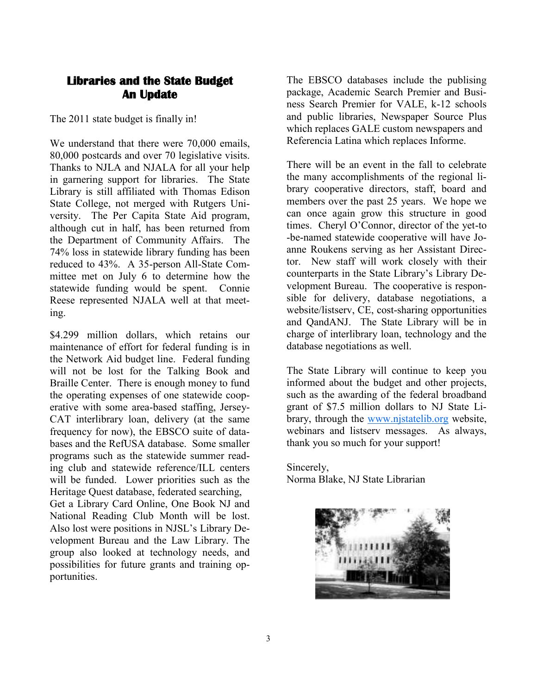## <span id="page-2-0"></span>**Libraries and the State Budget An Update**

The 2011 state budget is finally in!

We understand that there were 70,000 emails, 80,000 postcards and over 70 legislative visits. Thanks to NJLA and NJALA for all your help in garnering support for libraries. The State Library is still affiliated with Thomas Edison State College, not merged with Rutgers University. The Per Capita State Aid program, although cut in half, has been returned from the Department of Community Affairs. The 74% loss in statewide library funding has been reduced to 43%. A 35-person All-State Committee met on July 6 to determine how the statewide funding would be spent. Connie Reese represented NJALA well at that meeting.

\$4.299 million dollars, which retains our maintenance of effort for federal funding is in the Network Aid budget line. Federal funding will not be lost for the Talking Book and Braille Center. There is enough money to fund the operating expenses of one statewide cooperative with some area-based staffing, Jersey-CAT interlibrary loan, delivery (at the same frequency for now), the EBSCO suite of databases and the RefUSA database. Some smaller programs such as the statewide summer reading club and statewide reference/ILL centers will be funded. Lower priorities such as the Heritage Quest database, federated searching,

Get a Library Card Online, One Book NJ and National Reading Club Month will be lost. Also lost were positions in NJSL's Library Development Bureau and the Law Library. The group also looked at technology needs, and possibilities for future grants and training opportunities.

The EBSCO databases include the publising package, Academic Search Premier and Business Search Premier for VALE, k-12 schools and public libraries, Newspaper Source Plus which replaces GALE custom newspapers and Referencia Latina which replaces Informe.

There will be an event in the fall to celebrate the many accomplishments of the regional library cooperative directors, staff, board and members over the past 25 years. We hope we can once again grow this structure in good times. Cheryl O'Connor, director of the yet-to -be-named statewide cooperative will have Joanne Roukens serving as her Assistant Director. New staff will work closely with their counterparts in the State Library's Library Development Bureau. The cooperative is responsible for delivery, database negotiations, a website/listserv, CE, cost-sharing opportunities and QandANJ. The State Library will be in charge of interlibrary loan, technology and the database negotiations as well.

The State Library will continue to keep you informed about the budget and other projects, such as the awarding of the federal broadband grant of \$7.5 million dollars to NJ State Library, through the [www.njstatelib.org](#page-2-0) website, webinars and listserv messages. As always, thank you so much for your support!

Sincerely, Norma Blake, NJ State Librarian